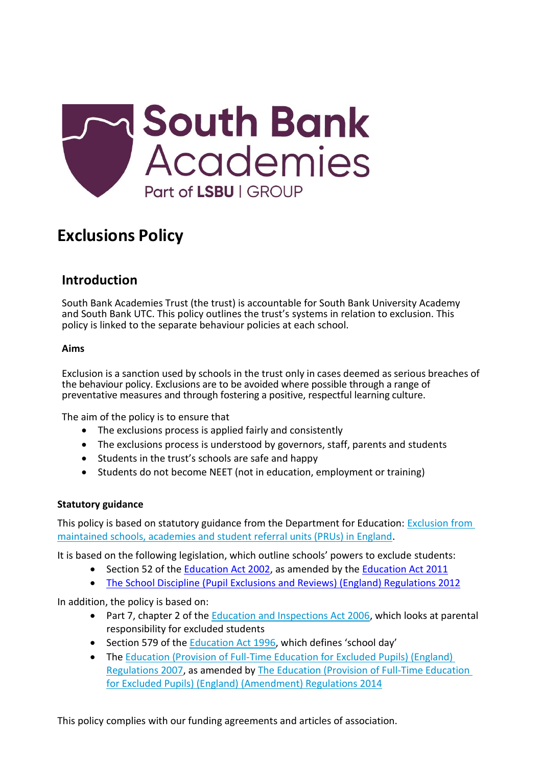

# **Exclusions Policy**

# **Introduction**

South Bank Academies Trust (the trust) is accountable for South Bank University Academy and South Bank UTC. This policy outlines the trust's systems in relation to exclusion. This policy is linked to the separate behaviour policies at each school.

### **Aims**

Exclusion is a sanction used by schools in the trust only in cases deemed as serious breaches of the behaviour policy. Exclusions are to be avoided where possible through a range of preventative measures and through fostering a positive, respectful learning culture.

The aim of the policy is to ensure that

- The exclusions process is applied fairly and consistently
- The exclusions process is understood by governors, staff, parents and students
- Students in the trust's schools are safe and happy
- Students do not become NEET (not in education, employment or training)

# **Statutory guidance**

This policy is based on statutory guidance from the Department for Education: [Exclusion from](https://www.gov.uk/government/publications/school-exclusion)  [maintained schools, academies and student](https://www.gov.uk/government/publications/school-exclusion) referral units (PRUs) in England.

It is based on the following legislation, which outline schools' powers to exclude students:

- Section 52 of the [Education Act 2002,](http://www.legislation.gov.uk/ukpga/2002/32/section/52) as amended by the [Education Act 2011](http://www.legislation.gov.uk/ukpga/2011/21/contents/enacted)
- The School Discipline (Pupil [Exclusions and Reviews\) \(England\) Regulations 2012](http://www.legislation.gov.uk/uksi/2012/1033/made)

In addition, the policy is based on:

- Part 7, chapter 2 of the [Education and Inspections Act 2006,](http://www.legislation.gov.uk/ukpga/2006/40/part/7/chapter/2) which looks at parental responsibility for excluded students
- Section 579 of the [Education Act 1996](http://www.legislation.gov.uk/ukpga/1996/56/section/579), which defines 'school day'
- The Education (Provision of Full-Time Education for Excluded Pupils) (England) [Regulations 2007,](http://www.legislation.gov.uk/uksi/2007/1870/contents/made) as amended by [The Education \(Provision of Full-Time Education](http://www.legislation.gov.uk/uksi/2014/3216/contents/made)  [for Excluded Pupils\) \(England\) \(Amendment\) Regulations 2014](http://www.legislation.gov.uk/uksi/2014/3216/contents/made)

This policy complies with our funding agreements and articles of association.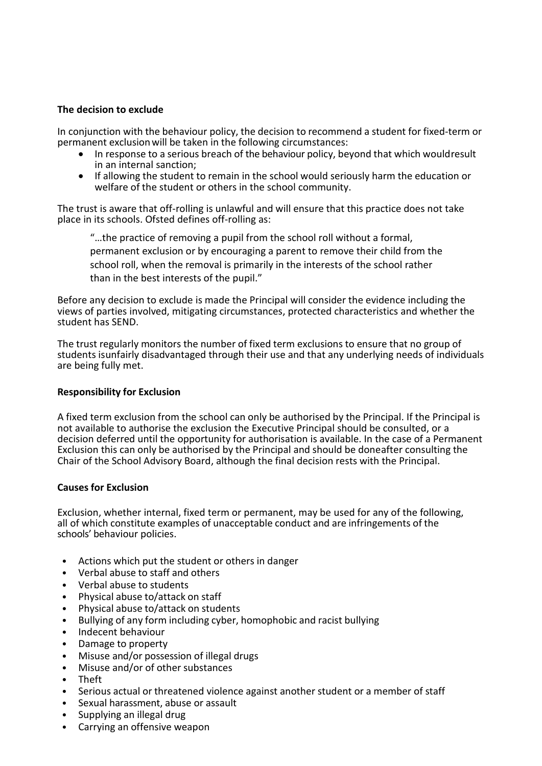#### **The decision to exclude**

In conjunction with the behaviour policy, the decision to recommend a student for fixed-term or permanent exclusion will be taken in the following circumstances:

- In response to a serious breach of the behaviour policy, beyond that which wouldresult in an internal sanction;
- If allowing the student to remain in the school would seriously harm the education or welfare of the student or others in the school community.

The trust is aware that off-rolling is unlawful and will ensure that this practice does not take place in its schools. Ofsted defines off-rolling as:

"…the practice of removing a pupil from the school roll without a formal, permanent exclusion or by encouraging a parent to remove their child from the school roll, when the removal is primarily in the interests of the school rather than in the best interests of the pupil."

Before any decision to exclude is made the Principal will consider the evidence including the views of parties involved, mitigating circumstances, protected characteristics and whether the student has SEND.

The trust regularly monitors the number of fixed term exclusions to ensure that no group of students isunfairly disadvantaged through their use and that any underlying needs of individuals are being fully met.

#### **Responsibility for Exclusion**

A fixed term exclusion from the school can only be authorised by the Principal. If the Principal is not available to authorise the exclusion the Executive Principal should be consulted, or a decision deferred until the opportunity for authorisation is available. In the case of a Permanent Exclusion this can only be authorised by the Principal and should be doneafter consulting the Chair of the School Advisory Board, although the final decision rests with the Principal.

#### **Causes for Exclusion**

Exclusion, whether internal, fixed term or permanent, may be used for any of the following, all of which constitute examples of unacceptable conduct and are infringements of the schools' behaviour policies.

- Actions which put the student or others in danger
- Verbal abuse to staff and others
- Verbal abuse to students
- Physical abuse to/attack on staff
- Physical abuse to/attack on students
- Bullying of any form including cyber, homophobic and racist bullying
- Indecent behaviour
- Damage to property
- Misuse and/or possession of illegal drugs
- Misuse and/or of other substances
- Theft
- Serious actual or threatened violence against another student or a member of staff
- Sexual harassment, abuse or assault
- Supplying an illegal drug
- Carrying an offensive weapon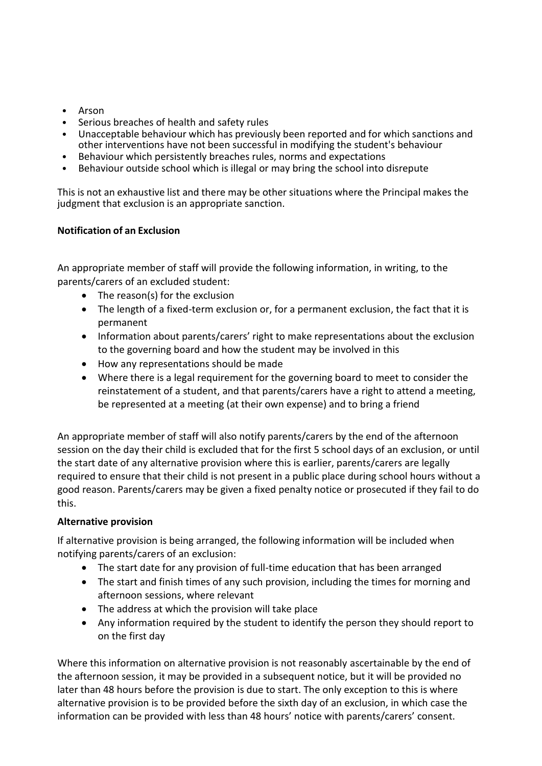- Arson
- Serious breaches of health and safety rules
- Unacceptable behaviour which has previously been reported and for which sanctions and other interventions have not been successful in modifying the student's behaviour
- Behaviour which persistently breaches rules, norms and expectations
- Behaviour outside school which is illegal or may bring the school into disrepute

This is not an exhaustive list and there may be other situations where the Principal makes the judgment that exclusion is an appropriate sanction.

# **Notification of an Exclusion**

An appropriate member of staff will provide the following information, in writing, to the parents/carers of an excluded student:

- The reason(s) for the exclusion
- The length of a fixed-term exclusion or, for a permanent exclusion, the fact that it is permanent
- Information about parents/carers' right to make representations about the exclusion to the governing board and how the student may be involved in this
- How any representations should be made
- Where there is a legal requirement for the governing board to meet to consider the reinstatement of a student, and that parents/carers have a right to attend a meeting, be represented at a meeting (at their own expense) and to bring a friend

An appropriate member of staff will also notify parents/carers by the end of the afternoon session on the day their child is excluded that for the first 5 school days of an exclusion, or until the start date of any alternative provision where this is earlier, parents/carers are legally required to ensure that their child is not present in a public place during school hours without a good reason. Parents/carers may be given a fixed penalty notice or prosecuted if they fail to do this.

# **Alternative provision**

If alternative provision is being arranged, the following information will be included when notifying parents/carers of an exclusion:

- The start date for any provision of full-time education that has been arranged
- The start and finish times of any such provision, including the times for morning and afternoon sessions, where relevant
- The address at which the provision will take place
- Any information required by the student to identify the person they should report to on the first day

Where this information on alternative provision is not reasonably ascertainable by the end of the afternoon session, it may be provided in a subsequent notice, but it will be provided no later than 48 hours before the provision is due to start. The only exception to this is where alternative provision is to be provided before the sixth day of an exclusion, in which case the information can be provided with less than 48 hours' notice with parents/carers' consent.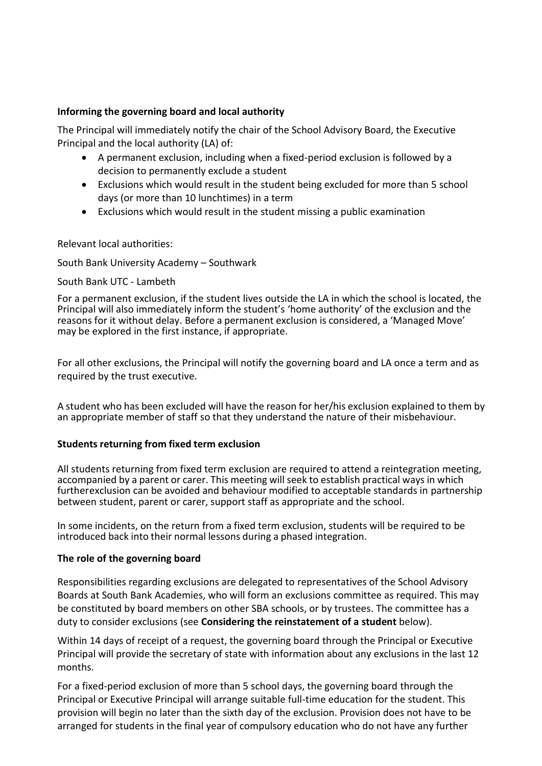### **Informing the governing board and local authority**

The Principal will immediately notify the chair of the School Advisory Board, the Executive Principal and the local authority (LA) of:

- A permanent exclusion, including when a fixed-period exclusion is followed by a decision to permanently exclude a student
- Exclusions which would result in the student being excluded for more than 5 school days (or more than 10 lunchtimes) in a term
- Exclusions which would result in the student missing a public examination

Relevant local authorities:

### South Bank University Academy – Southwark

### South Bank UTC - Lambeth

For a permanent exclusion, if the student lives outside the LA in which the school is located, the Principal will also immediately inform the student's 'home authority' of the exclusion and the reasons for it without delay. Before a permanent exclusion is considered, a 'Managed Move' may be explored in the first instance, if appropriate.

For all other exclusions, the Principal will notify the governing board and LA once a term and as required by the trust executive.

A student who has been excluded will have the reason for her/his exclusion explained to them by an appropriate member of staff so that they understand the nature of their misbehaviour.

#### **Students returning from fixed term exclusion**

All students returning from fixed term exclusion are required to attend a reintegration meeting, accompanied by a parent or carer. This meeting will seek to establish practical ways in which furtherexclusion can be avoided and behaviour modified to acceptable standards in partnership between student, parent or carer, support staff as appropriate and the school.

In some incidents, on the return from a fixed term exclusion, students will be required to be introduced back into their normal lessons during a phased integration.

#### **The role of the governing board**

Responsibilities regarding exclusions are delegated to representatives of the School Advisory Boards at South Bank Academies, who will form an exclusions committee as required. This may be constituted by board members on other SBA schools, or by trustees. The committee has a duty to consider exclusions (see **Considering the reinstatement of a student** below).

Within 14 days of receipt of a request, the governing board through the Principal or Executive Principal will provide the secretary of state with information about any exclusions in the last 12 months.

For a fixed-period exclusion of more than 5 school days, the governing board through the Principal or Executive Principal will arrange suitable full-time education for the student. This provision will begin no later than the sixth day of the exclusion. Provision does not have to be arranged for students in the final year of compulsory education who do not have any further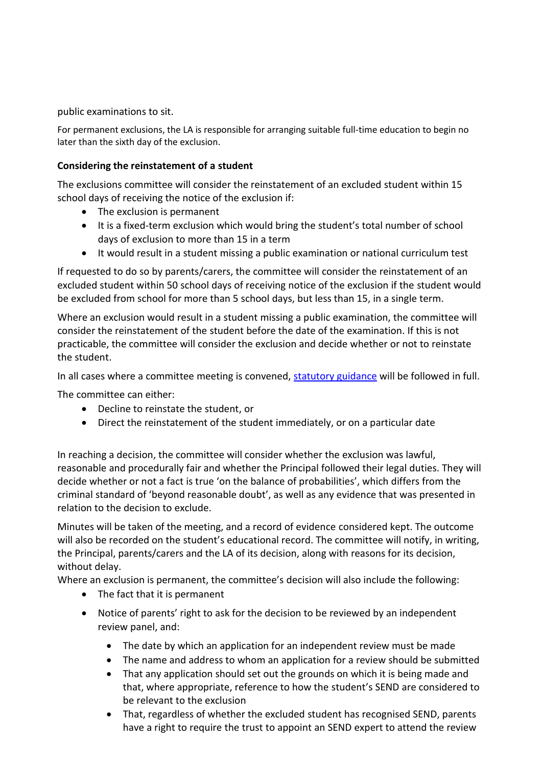public examinations to sit.

For permanent exclusions, the LA is responsible for arranging suitable full-time education to begin no later than the sixth day of the exclusion.

# **Considering the reinstatement of a student**

The exclusions committee will consider the reinstatement of an excluded student within 15 school days of receiving the notice of the exclusion if:

- The exclusion is permanent
- It is a fixed-term exclusion which would bring the student's total number of school days of exclusion to more than 15 in a term
- It would result in a student missing a public examination or national curriculum test

If requested to do so by parents/carers, the committee will consider the reinstatement of an excluded student within 50 school days of receiving notice of the exclusion if the student would be excluded from school for more than 5 school days, but less than 15, in a single term.

Where an exclusion would result in a student missing a public examination, the committee will consider the reinstatement of the student before the date of the examination. If this is not practicable, the committee will consider the exclusion and decide whether or not to reinstate the student.

In all cases where a committee meeting is convened, [statutory guidance](https://assets.publishing.service.gov.uk/government/uploads/system/uploads/attachment_data/file/921405/20170831_Exclusion_Stat_guidance_Web_version.pdf) will be followed in full.

The committee can either:

- Decline to reinstate the student, or
- Direct the reinstatement of the student immediately, or on a particular date

In reaching a decision, the committee will consider whether the exclusion was lawful, reasonable and procedurally fair and whether the Principal followed their legal duties. They will decide whether or not a fact is true 'on the balance of probabilities', which differs from the criminal standard of 'beyond reasonable doubt', as well as any evidence that was presented in relation to the decision to exclude.

Minutes will be taken of the meeting, and a record of evidence considered kept. The outcome will also be recorded on the student's educational record. The committee will notify, in writing, the Principal, parents/carers and the LA of its decision, along with reasons for its decision, without delay.

Where an exclusion is permanent, the committee's decision will also include the following:

- The fact that it is permanent
- Notice of parents' right to ask for the decision to be reviewed by an independent review panel, and:
	- The date by which an application for an independent review must be made
	- The name and address to whom an application for a review should be submitted
	- That any application should set out the grounds on which it is being made and that, where appropriate, reference to how the student's SEND are considered to be relevant to the exclusion
	- That, regardless of whether the excluded student has recognised SEND, parents have a right to require the trust to appoint an SEND expert to attend the review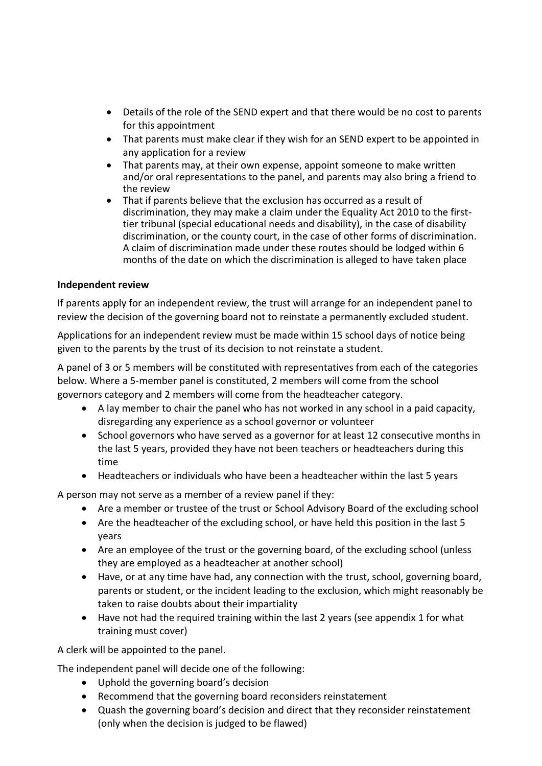- Details of the role of the SEND expert and that there would be no cost to parents for this appointment
- That parents must make clear if they wish for an SEND expert to be appointed in any application for a review
- That parents may, at their own expense, appoint someone to make written and/or oral representations to the panel, and parents may also bring a friend to the review
- That if parents believe that the exclusion has occurred as a result of discrimination, they may make a claim under the Equality Act 2010 to the firsttier tribunal (special educational needs and disability), in the case of disability discrimination, or the county court, in the case of other forms of discrimination. A claim of discrimination made under these routes should be lodged within 6 months of the date on which the discrimination is alleged to have taken place

# **Independent review**

If parents apply for an independent review, the trust will arrange for an independent panel to review the decision of the governing board not to reinstate a permanently excluded student.

Applications for an independent review must be made within 15 school days of notice being given to the parents by the trust of its decision to not reinstate a student.

A panel of 3 or 5 members will be constituted with representatives from each of the categories below. Where a 5-member panel is constituted, 2 members will come from the school governors category and 2 members will come from the headteacher category.

- A lay member to chair the panel who has not worked in any school in a paid capacity, disregarding any experience as a school governor or volunteer
- School governors who have served as a governor for at least 12 consecutive months in the last 5 years, provided they have not been teachers or headteachers during this time
- Headteachers or individuals who have been a headteacher within the last 5 years

A person may not serve as a member of a review panel if they:

- Are a member or trustee of the trust or School Advisory Board of the excluding school
- Are the headteacher of the excluding school, or have held this position in the last 5 years
- Are an employee of the trust or the governing board, of the excluding school (unless they are employed as a headteacher at another school)
- Have, or at any time have had, any connection with the trust, school, governing board, parents or student, or the incident leading to the exclusion, which might reasonably be taken to raise doubts about their impartiality
- Have not had the required training within the last 2 years (see appendix 1 for what training must cover)

A clerk will be appointed to the panel.

The independent panel will decide one of the following:

- Uphold the governing board's decision
- Recommend that the governing board reconsiders reinstatement
- Quash the governing board's decision and direct that they reconsider reinstatement (only when the decision is judged to be flawed)